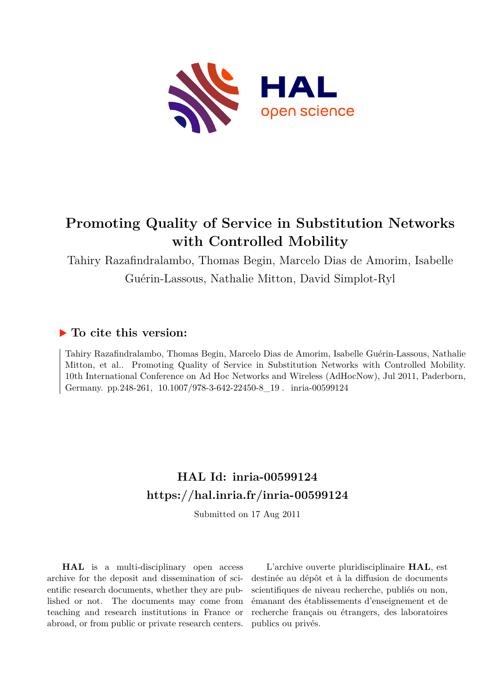

# **Promoting Quality of Service in Substitution Networks with Controlled Mobility**

Tahiry Razafindralambo, Thomas Begin, Marcelo Dias de Amorim, Isabelle Guérin-Lassous, Nathalie Mitton, David Simplot-Ryl

# **To cite this version:**

Tahiry Razafindralambo, Thomas Begin, Marcelo Dias de Amorim, Isabelle Guérin-Lassous, Nathalie Mitton, et al.. Promoting Quality of Service in Substitution Networks with Controlled Mobility. 10th International Conference on Ad Hoc Networks and Wireless (AdHocNow), Jul 2011, Paderborn, Germany. pp.248-261, 10.1007/978-3-642-22450-8\_19 . inria-00599124

# **HAL Id: inria-00599124 <https://hal.inria.fr/inria-00599124>**

Submitted on 17 Aug 2011

**HAL** is a multi-disciplinary open access archive for the deposit and dissemination of scientific research documents, whether they are published or not. The documents may come from teaching and research institutions in France or abroad, or from public or private research centers.

L'archive ouverte pluridisciplinaire **HAL**, est destinée au dépôt et à la diffusion de documents scientifiques de niveau recherche, publiés ou non, émanant des établissements d'enseignement et de recherche français ou étrangers, des laboratoires publics ou privés.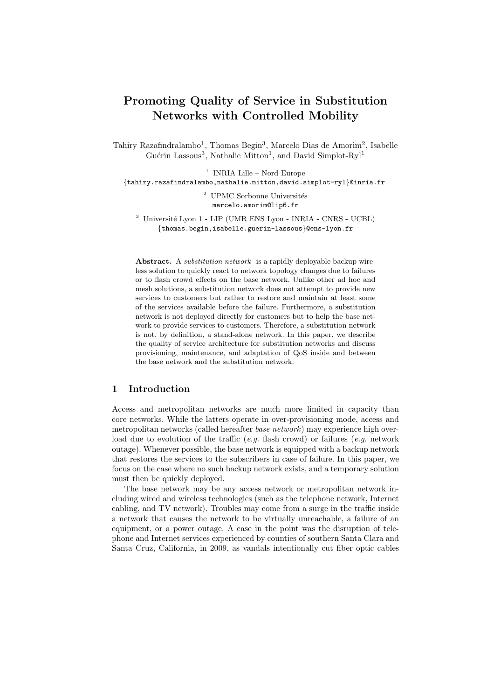# Promoting Quality of Service in Substitution Networks with Controlled Mobility

Tahiry Razafindralambo<sup>1</sup>, Thomas Begin<sup>3</sup>, Marcelo Dias de Amorim<sup>2</sup>, Isabelle Guérin Lassous<sup>3</sup>, Nathalie Mitton<sup>1</sup>, and David Simplot-Ry<sup>11</sup>

1 INRIA Lille – Nord Europe

{tahiry.razafindralambo,nathalie.mitton,david.simplot-ryl}@inria.fr

 $2$  UPMC Sorbonne Universités marcelo.amorim@lip6.fr

 $^3$ Université Lyon 1 - LIP (UMR ENS Lyon - INRIA - CNRS - UCBL) {thomas.begin,isabelle.guerin-lassous}@ens-lyon.fr

Abstract. A *substitution network* is a rapidly deployable backup wireless solution to quickly react to network topology changes due to failures or to flash crowd effects on the base network. Unlike other ad hoc and mesh solutions, a substitution network does not attempt to provide new services to customers but rather to restore and maintain at least some of the services available before the failure. Furthermore, a substitution network is not deployed directly for customers but to help the base network to provide services to customers. Therefore, a substitution network is not, by definition, a stand-alone network. In this paper, we describe the quality of service architecture for substitution networks and discuss provisioning, maintenance, and adaptation of QoS inside and between the base network and the substitution network.

#### 1 Introduction

Access and metropolitan networks are much more limited in capacity than core networks. While the latters operate in over-provisioning mode, access and metropolitan networks (called hereafter base network) may experience high overload due to evolution of the traffic  $(e.g.$  flash crowd) or failures  $(e.g.$  network outage). Whenever possible, the base network is equipped with a backup network that restores the services to the subscribers in case of failure. In this paper, we focus on the case where no such backup network exists, and a temporary solution must then be quickly deployed.

The base network may be any access network or metropolitan network including wired and wireless technologies (such as the telephone network, Internet cabling, and TV network). Troubles may come from a surge in the traffic inside a network that causes the network to be virtually unreachable, a failure of an equipment, or a power outage. A case in the point was the disruption of telephone and Internet services experienced by counties of southern Santa Clara and Santa Cruz, California, in 2009, as vandals intentionally cut fiber optic cables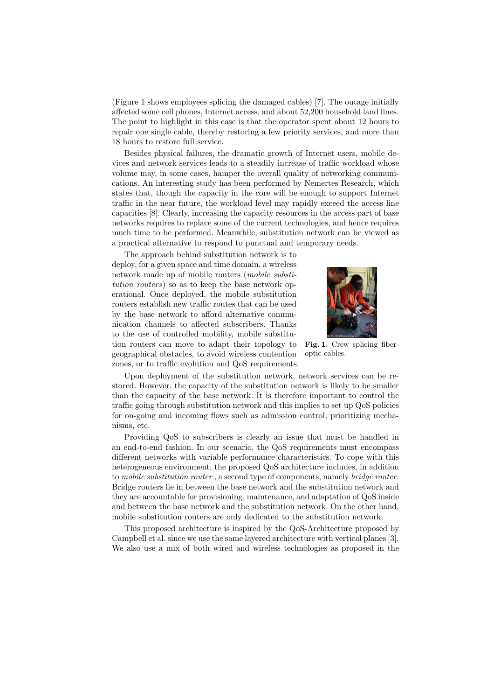(Figure 1 shows employees splicing the damaged cables) [7]. The outage initially affected some cell phones, Internet access, and about 52,200 household land lines. The point to highlight in this case is that the operator spent about 12 hours to repair one single cable, thereby restoring a few priority services, and more than 18 hours to restore full service.

Besides physical failures, the dramatic growth of Internet users, mobile devices and network services leads to a steadily increase of traffic workload whose volume may, in some cases, hamper the overall quality of networking communications. An interesting study has been performed by Nemertes Research, which states that, though the capacity in the core will be enough to support Internet traffic in the near future, the workload level may rapidly exceed the access line capacities [8]. Clearly, increasing the capacity resources in the access part of base networks requires to replace some of the current technologies, and hence requires much time to be performed. Meanwhile, substitution network can be viewed as a practical alternative to respond to punctual and temporary needs.

The approach behind substitution network is to deploy, for a given space and time domain, a wireless network made up of mobile routers (mobile substitution routers) so as to keep the base network operational. Once deployed, the mobile substitution routers establish new traffic routes that can be used by the base network to afford alternative communication channels to affected subscribers. Thanks to the use of controlled mobility, mobile substitution routers can move to adapt their topology to geographical obstacles, to avoid wireless contention zones, or to traffic evolution and QoS requirements.



Fig. 1. Crew splicing fiberoptic cables.

Upon deployment of the substitution network, network services can be restored. However, the capacity of the substitution network is likely to be smaller than the capacity of the base network. It is therefore important to control the traffic going through substitution network and this implies to set up QoS policies for on-going and incoming flows such as admission control, prioritizing mechanisms, etc.

Providing QoS to subscribers is clearly an issue that must be handled in an end-to-end fashion. In our scenario, the QoS requirements must encompass different networks with variable performance characteristics. To cope with this heterogeneous environment, the proposed QoS architecture includes, in addition to mobile substitution router , a second type of components, namely bridge router. Bridge routers lie in between the base network and the substitution network and they are accountable for provisioning, maintenance, and adaptation of QoS inside and between the base network and the substitution network. On the other hand, mobile substitution routers are only dedicated to the substitution network.

This proposed architecture is inspired by the QoS-Architecture proposed by Campbell et al. since we use the same layered architecture with vertical planes [3]. We also use a mix of both wired and wireless technologies as proposed in the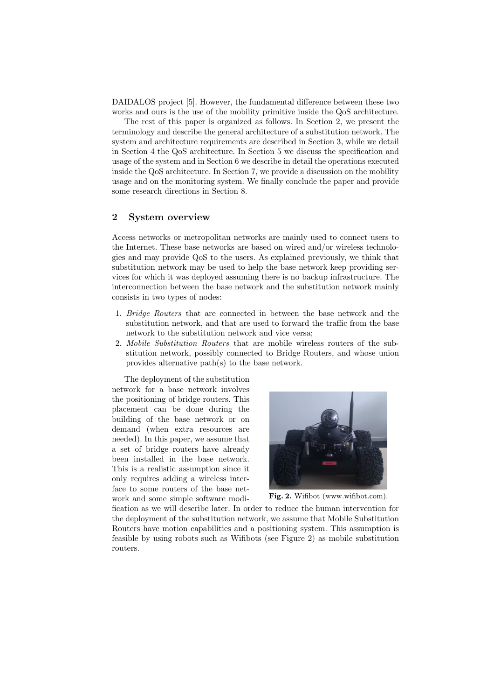DAIDALOS project [5]. However, the fundamental difference between these two works and ours is the use of the mobility primitive inside the QoS architecture.

The rest of this paper is organized as follows. In Section 2, we present the terminology and describe the general architecture of a substitution network. The system and architecture requirements are described in Section 3, while we detail in Section 4 the QoS architecture. In Section 5 we discuss the specification and usage of the system and in Section 6 we describe in detail the operations executed inside the QoS architecture. In Section 7, we provide a discussion on the mobility usage and on the monitoring system. We finally conclude the paper and provide some research directions in Section 8.

#### 2 System overview

Access networks or metropolitan networks are mainly used to connect users to the Internet. These base networks are based on wired and/or wireless technologies and may provide QoS to the users. As explained previously, we think that substitution network may be used to help the base network keep providing services for which it was deployed assuming there is no backup infrastructure. The interconnection between the base network and the substitution network mainly consists in two types of nodes:

- 1. Bridge Routers that are connected in between the base network and the substitution network, and that are used to forward the traffic from the base network to the substitution network and vice versa;
- 2. Mobile Substitution Routers that are mobile wireless routers of the substitution network, possibly connected to Bridge Routers, and whose union provides alternative path(s) to the base network.

The deployment of the substitution network for a base network involves the positioning of bridge routers. This placement can be done during the building of the base network or on demand (when extra resources are needed). In this paper, we assume that a set of bridge routers have already been installed in the base network. This is a realistic assumption since it only requires adding a wireless interface to some routers of the base network and some simple software modi-



Fig. 2. Wifibot (www.wifibot.com).

fication as we will describe later. In order to reduce the human intervention for the deployment of the substitution network, we assume that Mobile Substitution Routers have motion capabilities and a positioning system. This assumption is feasible by using robots such as Wifibots (see Figure 2) as mobile substitution routers.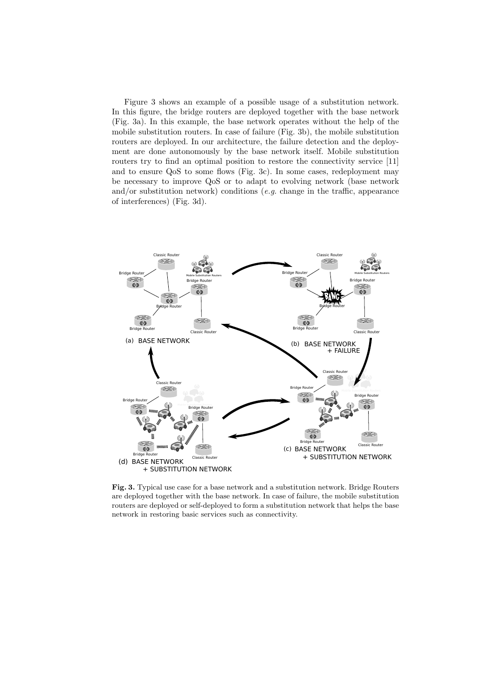Figure 3 shows an example of a possible usage of a substitution network. In this figure, the bridge routers are deployed together with the base network (Fig. 3a). In this example, the base network operates without the help of the mobile substitution routers. In case of failure (Fig. 3b), the mobile substitution routers are deployed. In our architecture, the failure detection and the deployment are done autonomously by the base network itself. Mobile substitution routers try to find an optimal position to restore the connectivity service [11] and to ensure QoS to some flows (Fig. 3c). In some cases, redeployment may be necessary to improve QoS or to adapt to evolving network (base network and/or substitution network) conditions (e.g. change in the traffic, appearance of interferences) (Fig. 3d).



Fig. 3. Typical use case for a base network and a substitution network. Bridge Routers are deployed together with the base network. In case of failure, the mobile substitution routers are deployed or self-deployed to form a substitution network that helps the base network in restoring basic services such as connectivity.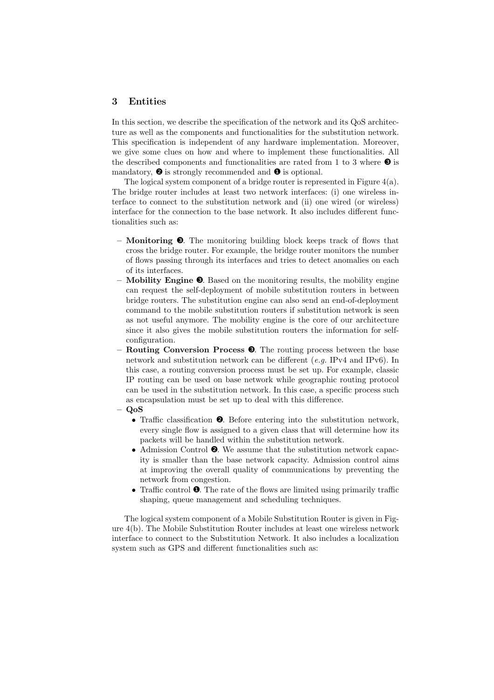### 3 Entities

In this section, we describe the specification of the network and its QoS architecture as well as the components and functionalities for the substitution network. This specification is independent of any hardware implementation. Moreover, we give some clues on how and where to implement these functionalities. All the described components and functionalities are rated from 1 to 3 where  $\bullet$  is mandatory,  $\bullet$  is strongly recommended and  $\bullet$  is optional.

The logical system component of a bridge router is represented in Figure  $4(a)$ . The bridge router includes at least two network interfaces: (i) one wireless interface to connect to the substitution network and (ii) one wired (or wireless) interface for the connection to the base network. It also includes different functionalities such as:

- **Monitoring**  $\odot$ . The monitoring building block keeps track of flows that cross the bridge router. For example, the bridge router monitors the number of flows passing through its interfaces and tries to detect anomalies on each of its interfaces.
- Mobility Engine ❸. Based on the monitoring results, the mobility engine can request the self-deployment of mobile substitution routers in between bridge routers. The substitution engine can also send an end-of-deployment command to the mobile substitution routers if substitution network is seen as not useful anymore. The mobility engine is the core of our architecture since it also gives the mobile substitution routers the information for selfconfiguration.
- Routing Conversion Process <sup> $\odot$ </sup>. The routing process between the base network and substitution network can be different (e.g. IPv4 and IPv6). In this case, a routing conversion process must be set up. For example, classic IP routing can be used on base network while geographic routing protocol can be used in the substitution network. In this case, a specific process such as encapsulation must be set up to deal with this difference.
- QoS
	- Traffic classification **@**. Before entering into the substitution network, every single flow is assigned to a given class that will determine how its packets will be handled within the substitution network.
	- Admission Control **@**. We assume that the substitution network capacity is smaller than the base network capacity. Admission control aims at improving the overall quality of communications by preventing the network from congestion.
	- Traffic control ❶. The rate of the flows are limited using primarily traffic shaping, queue management and scheduling techniques.

The logical system component of a Mobile Substitution Router is given in Figure 4(b). The Mobile Substitution Router includes at least one wireless network interface to connect to the Substitution Network. It also includes a localization system such as GPS and different functionalities such as: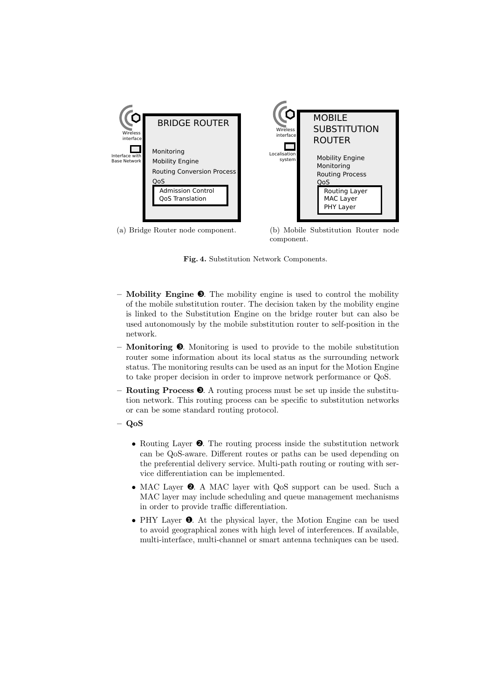

(b) Mobile Substitution Router node component.

Fig. 4. Substitution Network Components.

- $-$  Mobility Engine  $\Theta$ . The mobility engine is used to control the mobility of the mobile substitution router. The decision taken by the mobility engine is linked to the Substitution Engine on the bridge router but can also be used autonomously by the mobile substitution router to self-position in the network.
- Monitoring ❸. Monitoring is used to provide to the mobile substitution router some information about its local status as the surrounding network status. The monitoring results can be used as an input for the Motion Engine to take proper decision in order to improve network performance or QoS.
- Routing Process ❸. A routing process must be set up inside the substitution network. This routing process can be specific to substitution networks or can be some standard routing protocol.
- QoS
	- Routing Layer <sup> $\bullet$ </sup>. The routing process inside the substitution network can be QoS-aware. Different routes or paths can be used depending on the preferential delivery service. Multi-path routing or routing with service differentiation can be implemented.
	- MAC Layer **@.** A MAC layer with QoS support can be used. Such a MAC layer may include scheduling and queue management mechanisms in order to provide traffic differentiation.
	- PHY Layer **O**. At the physical layer, the Motion Engine can be used to avoid geographical zones with high level of interferences. If available, multi-interface, multi-channel or smart antenna techniques can be used.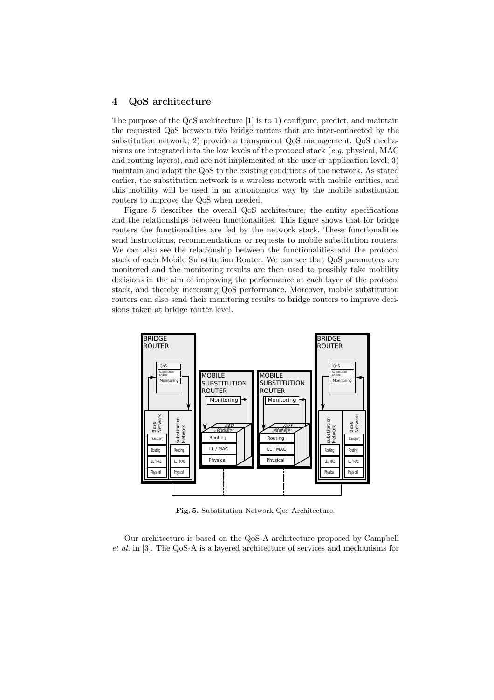### 4 QoS architecture

The purpose of the QoS architecture [1] is to 1) configure, predict, and maintain the requested QoS between two bridge routers that are inter-connected by the substitution network; 2) provide a transparent QoS management. QoS mechanisms are integrated into the low levels of the protocol stack  $(e.g.$  physical, MAC and routing layers), and are not implemented at the user or application level; 3) maintain and adapt the QoS to the existing conditions of the network. As stated earlier, the substitution network is a wireless network with mobile entities, and this mobility will be used in an autonomous way by the mobile substitution routers to improve the QoS when needed.

Figure 5 describes the overall QoS architecture, the entity specifications and the relationships between functionalities. This figure shows that for bridge routers the functionalities are fed by the network stack. These functionalities send instructions, recommendations or requests to mobile substitution routers. We can also see the relationship between the functionalities and the protocol stack of each Mobile Substitution Router. We can see that QoS parameters are monitored and the monitoring results are then used to possibly take mobility decisions in the aim of improving the performance at each layer of the protocol stack, and thereby increasing QoS performance. Moreover, mobile substitution routers can also send their monitoring results to bridge routers to improve decisions taken at bridge router level.



Fig. 5. Substitution Network Qos Architecture.

Our architecture is based on the QoS-A architecture proposed by Campbell et al. in [3]. The QoS-A is a layered architecture of services and mechanisms for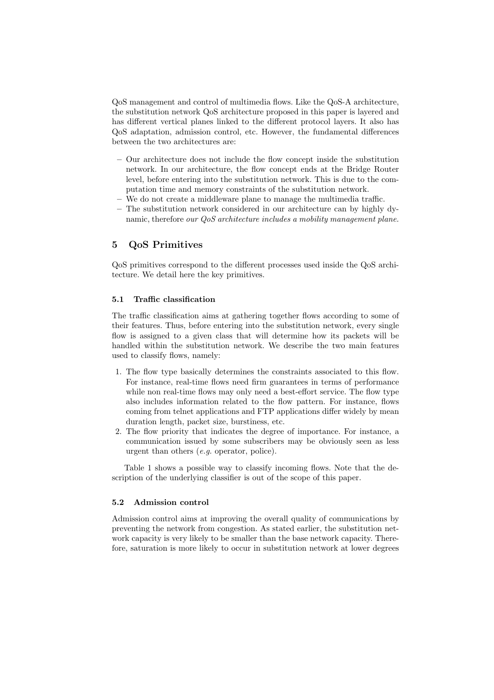QoS management and control of multimedia flows. Like the QoS-A architecture, the substitution network QoS architecture proposed in this paper is layered and has different vertical planes linked to the different protocol layers. It also has QoS adaptation, admission control, etc. However, the fundamental differences between the two architectures are:

- Our architecture does not include the flow concept inside the substitution network. In our architecture, the flow concept ends at the Bridge Router level, before entering into the substitution network. This is due to the computation time and memory constraints of the substitution network.
- We do not create a middleware plane to manage the multimedia traffic.
- The substitution network considered in our architecture can by highly dynamic, therefore our QoS architecture includes a mobility management plane.

### 5 QoS Primitives

QoS primitives correspond to the different processes used inside the QoS architecture. We detail here the key primitives.

#### 5.1 Traffic classification

The traffic classification aims at gathering together flows according to some of their features. Thus, before entering into the substitution network, every single flow is assigned to a given class that will determine how its packets will be handled within the substitution network. We describe the two main features used to classify flows, namely:

- 1. The flow type basically determines the constraints associated to this flow. For instance, real-time flows need firm guarantees in terms of performance while non real-time flows may only need a best-effort service. The flow type also includes information related to the flow pattern. For instance, flows coming from telnet applications and FTP applications differ widely by mean duration length, packet size, burstiness, etc.
- 2. The flow priority that indicates the degree of importance. For instance, a communication issued by some subscribers may be obviously seen as less urgent than others (e.g. operator, police).

Table 1 shows a possible way to classify incoming flows. Note that the description of the underlying classifier is out of the scope of this paper.

#### 5.2 Admission control

Admission control aims at improving the overall quality of communications by preventing the network from congestion. As stated earlier, the substitution network capacity is very likely to be smaller than the base network capacity. Therefore, saturation is more likely to occur in substitution network at lower degrees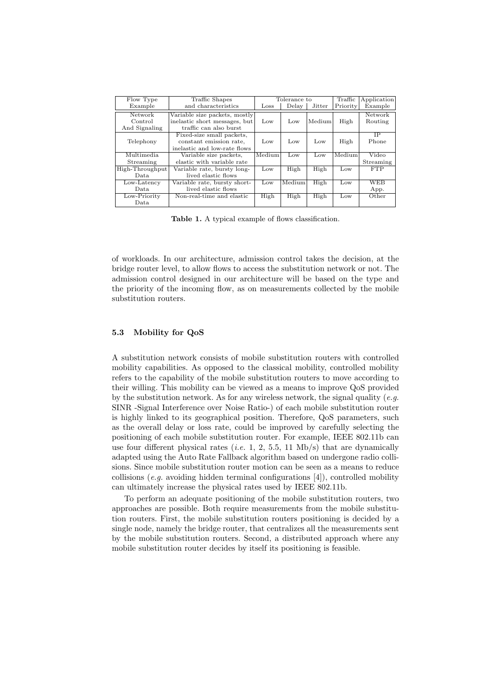| Flow Type                        | Traffic Shapes                | Tolerance to |        |                 | Traffic      | Application |
|----------------------------------|-------------------------------|--------------|--------|-----------------|--------------|-------------|
| Example                          | and characteristics           | Loss         | Delay  | Jitter          | Priority     | Example     |
| Network                          | Variable size packets, mostly |              |        |                 |              | Network     |
| Control                          | inelastic short messages, but | Low          | Low    | Medium          | High         | Routing     |
| And Signaling                    | traffic can also burst        |              |        |                 |              |             |
|                                  | Fixed-size small packets,     |              |        |                 |              | IΡ          |
| Telephony                        | constant emission rate,       | Low          | Low    | $_{\text{Low}}$ | High         | Phone       |
|                                  | inelastic and low-rate flows  |              |        |                 |              |             |
| Multimedia                       | Variable size packets,        | Medium       | Low    | Low             | Medium       | Video       |
| Streaming                        | elastic with variable rate    |              |        |                 |              | Streaming   |
| High-Throughput                  | Variable rate, bursty long-   | Low          | High   | High            | Low          | <b>FTP</b>  |
| Data.                            | lived elastic flows           |              |        |                 |              |             |
| Low-Latency                      | Variable rate, bursty short-  | Low          | Medium | High            | Low          | WEB         |
| Data.                            | lived elastic flows           |              |        |                 |              | App.        |
| $\overline{\text{Low-Priority}}$ | Non-real-time and elastic     | High         | High   | High            | $\bar{L}$ ow | Other       |
| Data                             |                               |              |        |                 |              |             |

Table 1. A typical example of flows classification.

of workloads. In our architecture, admission control takes the decision, at the bridge router level, to allow flows to access the substitution network or not. The admission control designed in our architecture will be based on the type and the priority of the incoming flow, as on measurements collected by the mobile substitution routers.

#### 5.3 Mobility for QoS

A substitution network consists of mobile substitution routers with controlled mobility capabilities. As opposed to the classical mobility, controlled mobility refers to the capability of the mobile substitution routers to move according to their willing. This mobility can be viewed as a means to improve QoS provided by the substitution network. As for any wireless network, the signal quality  $(e.g.,)$ SINR -Signal Interference over Noise Ratio-) of each mobile substitution router is highly linked to its geographical position. Therefore, QoS parameters, such as the overall delay or loss rate, could be improved by carefully selecting the positioning of each mobile substitution router. For example, IEEE 802.11b can use four different physical rates (*i.e.* 1, 2, 5.5, 11 Mb/s) that are dynamically adapted using the Auto Rate Fallback algorithm based on undergone radio collisions. Since mobile substitution router motion can be seen as a means to reduce collisions (e.g. avoiding hidden terminal configurations  $[4]$ ), controlled mobility can ultimately increase the physical rates used by IEEE 802.11b.

To perform an adequate positioning of the mobile substitution routers, two approaches are possible. Both require measurements from the mobile substitution routers. First, the mobile substitution routers positioning is decided by a single node, namely the bridge router, that centralizes all the measurements sent by the mobile substitution routers. Second, a distributed approach where any mobile substitution router decides by itself its positioning is feasible.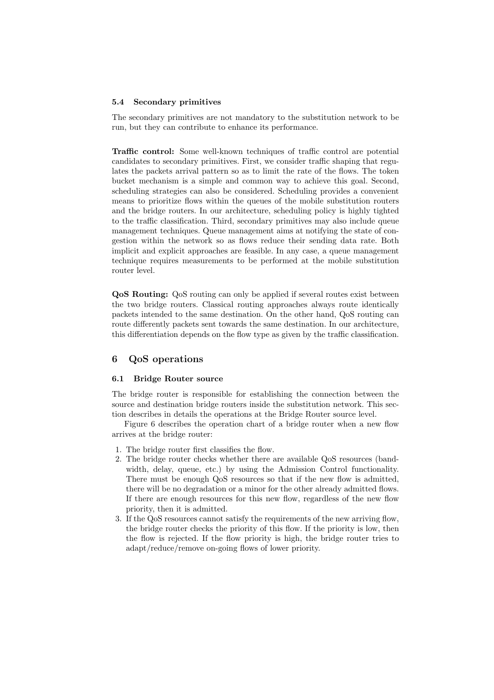#### 5.4 Secondary primitives

The secondary primitives are not mandatory to the substitution network to be run, but they can contribute to enhance its performance.

Traffic control: Some well-known techniques of traffic control are potential candidates to secondary primitives. First, we consider traffic shaping that regulates the packets arrival pattern so as to limit the rate of the flows. The token bucket mechanism is a simple and common way to achieve this goal. Second, scheduling strategies can also be considered. Scheduling provides a convenient means to prioritize flows within the queues of the mobile substitution routers and the bridge routers. In our architecture, scheduling policy is highly tighted to the traffic classification. Third, secondary primitives may also include queue management techniques. Queue management aims at notifying the state of congestion within the network so as flows reduce their sending data rate. Both implicit and explicit approaches are feasible. In any case, a queue management technique requires measurements to be performed at the mobile substitution router level.

QoS Routing: QoS routing can only be applied if several routes exist between the two bridge routers. Classical routing approaches always route identically packets intended to the same destination. On the other hand, QoS routing can route differently packets sent towards the same destination. In our architecture, this differentiation depends on the flow type as given by the traffic classification.

# 6 QoS operations

#### 6.1 Bridge Router source

The bridge router is responsible for establishing the connection between the source and destination bridge routers inside the substitution network. This section describes in details the operations at the Bridge Router source level.

Figure 6 describes the operation chart of a bridge router when a new flow arrives at the bridge router:

- 1. The bridge router first classifies the flow.
- 2. The bridge router checks whether there are available QoS resources (bandwidth, delay, queue, etc.) by using the Admission Control functionality. There must be enough QoS resources so that if the new flow is admitted, there will be no degradation or a minor for the other already admitted flows. If there are enough resources for this new flow, regardless of the new flow priority, then it is admitted.
- 3. If the QoS resources cannot satisfy the requirements of the new arriving flow, the bridge router checks the priority of this flow. If the priority is low, then the flow is rejected. If the flow priority is high, the bridge router tries to adapt/reduce/remove on-going flows of lower priority.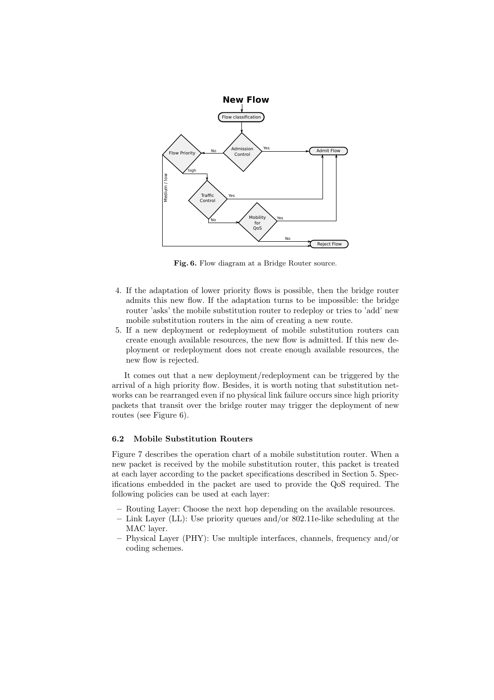

Fig. 6. Flow diagram at a Bridge Router source.

- 4. If the adaptation of lower priority flows is possible, then the bridge router admits this new flow. If the adaptation turns to be impossible: the bridge router 'asks' the mobile substitution router to redeploy or tries to 'add' new mobile substitution routers in the aim of creating a new route.
- 5. If a new deployment or redeployment of mobile substitution routers can create enough available resources, the new flow is admitted. If this new deployment or redeployment does not create enough available resources, the new flow is rejected.

It comes out that a new deployment/redeployment can be triggered by the arrival of a high priority flow. Besides, it is worth noting that substitution networks can be rearranged even if no physical link failure occurs since high priority packets that transit over the bridge router may trigger the deployment of new routes (see Figure 6).

#### 6.2 Mobile Substitution Routers

Figure 7 describes the operation chart of a mobile substitution router. When a new packet is received by the mobile substitution router, this packet is treated at each layer according to the packet specifications described in Section 5. Specifications embedded in the packet are used to provide the QoS required. The following policies can be used at each layer:

- Routing Layer: Choose the next hop depending on the available resources.
- Link Layer (LL): Use priority queues and/or 802.11e-like scheduling at the MAC layer.
- Physical Layer (PHY): Use multiple interfaces, channels, frequency and/or coding schemes.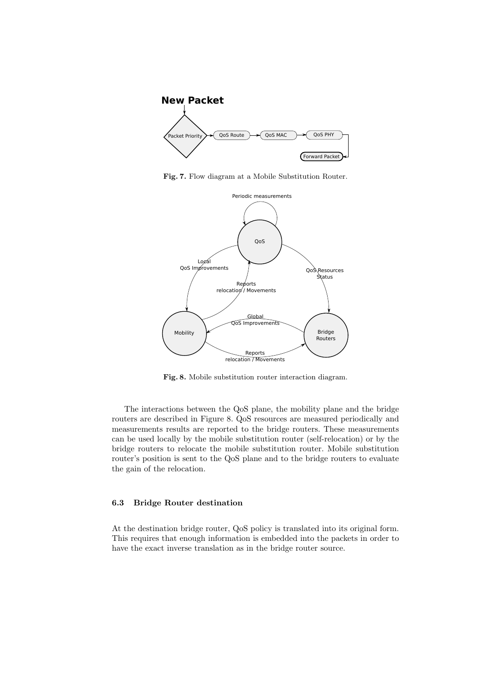

Fig. 7. Flow diagram at a Mobile Substitution Router.



Fig. 8. Mobile substitution router interaction diagram.

The interactions between the QoS plane, the mobility plane and the bridge routers are described in Figure 8. QoS resources are measured periodically and measurements results are reported to the bridge routers. These measurements can be used locally by the mobile substitution router (self-relocation) or by the bridge routers to relocate the mobile substitution router. Mobile substitution router's position is sent to the QoS plane and to the bridge routers to evaluate the gain of the relocation.

#### 6.3 Bridge Router destination

At the destination bridge router, QoS policy is translated into its original form. This requires that enough information is embedded into the packets in order to have the exact inverse translation as in the bridge router source.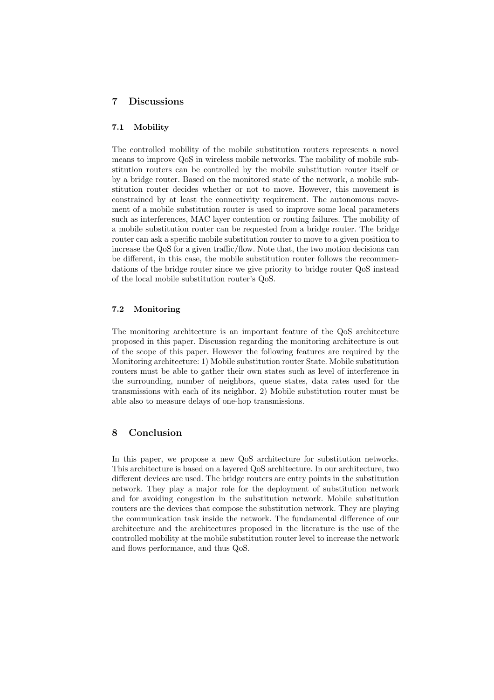# 7 Discussions

#### 7.1 Mobility

The controlled mobility of the mobile substitution routers represents a novel means to improve QoS in wireless mobile networks. The mobility of mobile substitution routers can be controlled by the mobile substitution router itself or by a bridge router. Based on the monitored state of the network, a mobile substitution router decides whether or not to move. However, this movement is constrained by at least the connectivity requirement. The autonomous movement of a mobile substitution router is used to improve some local parameters such as interferences, MAC layer contention or routing failures. The mobility of a mobile substitution router can be requested from a bridge router. The bridge router can ask a specific mobile substitution router to move to a given position to increase the QoS for a given traffic/flow. Note that, the two motion decisions can be different, in this case, the mobile substitution router follows the recommendations of the bridge router since we give priority to bridge router QoS instead of the local mobile substitution router's QoS.

#### 7.2 Monitoring

The monitoring architecture is an important feature of the QoS architecture proposed in this paper. Discussion regarding the monitoring architecture is out of the scope of this paper. However the following features are required by the Monitoring architecture: 1) Mobile substitution router State. Mobile substitution routers must be able to gather their own states such as level of interference in the surrounding, number of neighbors, queue states, data rates used for the transmissions with each of its neighbor. 2) Mobile substitution router must be able also to measure delays of one-hop transmissions.

## 8 Conclusion

In this paper, we propose a new QoS architecture for substitution networks. This architecture is based on a layered QoS architecture. In our architecture, two different devices are used. The bridge routers are entry points in the substitution network. They play a major role for the deployment of substitution network and for avoiding congestion in the substitution network. Mobile substitution routers are the devices that compose the substitution network. They are playing the communication task inside the network. The fundamental difference of our architecture and the architectures proposed in the literature is the use of the controlled mobility at the mobile substitution router level to increase the network and flows performance, and thus QoS.